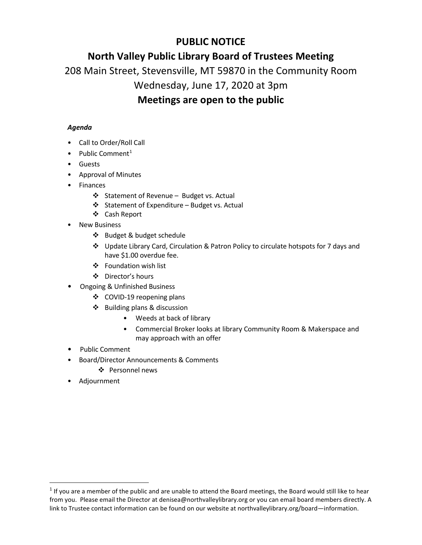## **PUBLIC NOTICE**

## **North Valley Public Library Board of Trustees Meeting**

208 Main Street, Stevensville, MT 59870 in the Community Room

## Wednesday, June 17, 2020 at 3pm

## **Meetings are open to the public**

## *Agenda*

- Call to Order/Roll Call
- Public Comment<sup>[1](#page-0-0)</sup>
- Guests
- Approval of Minutes
- Finances
	- Statement of Revenue Budget vs. Actual
	- $\div$  Statement of Expenditure Budget vs. Actual
	- Cash Report
- **New Business** 
	- ❖ Budget & budget schedule
	- Update Library Card, Circulation & Patron Policy to circulate hotspots for 7 days and have \$1.00 overdue fee.
	- Foundation wish list
	- Director's hours
- Ongoing & Unfinished Business
	- COVID-19 reopening plans
	- Building plans & discussion
		- Weeds at back of library
		- Commercial Broker looks at library Community Room & Makerspace and may approach with an offer
- Public Comment
- Board/Director Announcements & Comments
	- ❖ Personnel news
- Adjournment

<span id="page-0-0"></span> $1$  If you are a member of the public and are unable to attend the Board meetings, the Board would still like to hear from you. Please email the Director at denisea@northvalleylibrary.org or you can email board members directly. A link to Trustee contact information can be found on our website at northvalleylibrary.org/board—information.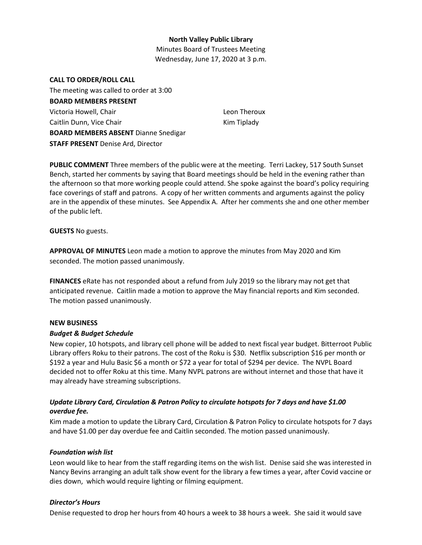### **North Valley Public Library**

Minutes Board of Trustees Meeting Wednesday, June 17, 2020 at 3 p.m.

#### **CALL TO ORDER/ROLL CALL**

The meeting was called to order at 3:00 **BOARD MEMBERS PRESENT** Victoria Howell, Chair Caitlin Dunn, Vice Chair **BOARD MEMBERS ABSENT** Dianne Snedigar **STAFF PRESENT** Denise Ard, Director

Leon Theroux Kim Tiplady

**PUBLIC COMMENT** Three members of the public were at the meeting. Terri Lackey, 517 South Sunset Bench, started her comments by saying that Board meetings should be held in the evening rather than the afternoon so that more working people could attend. She spoke against the board's policy requiring face coverings of staff and patrons. A copy of her written comments and arguments against the policy are in the appendix of these minutes. See Appendix A. After her comments she and one other member of the public left.

**GUESTS** No guests.

**APPROVAL OF MINUTES** Leon made a motion to approve the minutes from May 2020 and Kim seconded. The motion passed unanimously.

**FINANCES** eRate has not responded about a refund from July 2019 so the library may not get that anticipated revenue. Caitlin made a motion to approve the May financial reports and Kim seconded. The motion passed unanimously.

### **NEW BUSINESS**

### *Budget & Budget Schedule*

New copier, 10 hotspots, and library cell phone will be added to next fiscal year budget. Bitterroot Public Library offers Roku to their patrons. The cost of the Roku is \$30. Netflix subscription \$16 per month or \$192 a year and Hulu Basic \$6 a month or \$72 a year for total of \$294 per device. The NVPL Board decided not to offer Roku at this time. Many NVPL patrons are without internet and those that have it may already have streaming subscriptions.

## *Update Library Card, Circulation & Patron Policy to circulate hotspots for 7 days and have \$1.00 overdue fee.*

Kim made a motion to update the Library Card, Circulation & Patron Policy to circulate hotspots for 7 days and have \$1.00 per day overdue fee and Caitlin seconded. The motion passed unanimously.

### *Foundation wish list*

Leon would like to hear from the staff regarding items on the wish list. Denise said she was interested in Nancy Bevins arranging an adult talk show event for the library a few times a year, after Covid vaccine or dies down, which would require lighting or filming equipment.

### *Director's Hours*

Denise requested to drop her hours from 40 hours a week to 38 hours a week. She said it would save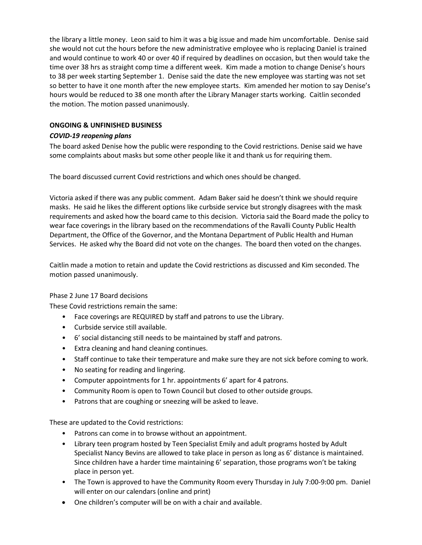the library a little money. Leon said to him it was a big issue and made him uncomfortable. Denise said she would not cut the hours before the new administrative employee who is replacing Daniel is trained and would continue to work 40 or over 40 if required by deadlines on occasion, but then would take the time over 38 hrs as straight comp time a different week. Kim made a motion to change Denise's hours to 38 per week starting September 1. Denise said the date the new employee was starting was not set so better to have it one month after the new employee starts. Kim amended her motion to say Denise's hours would be reduced to 38 one month after the Library Manager starts working. Caitlin seconded the motion. The motion passed unanimously.

## **ONGOING & UNFINISHED BUSINESS**

## *COVID-19 reopening plans*

The board asked Denise how the public were responding to the Covid restrictions. Denise said we have some complaints about masks but some other people like it and thank us for requiring them.

The board discussed current Covid restrictions and which ones should be changed.

Victoria asked if there was any public comment. Adam Baker said he doesn't think we should require masks. He said he likes the different options like curbside service but strongly disagrees with the mask requirements and asked how the board came to this decision. Victoria said the Board made the policy to wear face coverings in the library based on the recommendations of the Ravalli County Public Health Department, the Office of the Governor, and the Montana Department of Public Health and Human Services. He asked why the Board did not vote on the changes. The board then voted on the changes.

Caitlin made a motion to retain and update the Covid restrictions as discussed and Kim seconded. The motion passed unanimously.

### Phase 2 June 17 Board decisions

These Covid restrictions remain the same:

- Face coverings are REQUIRED by staff and patrons to use the Library.
- Curbside service still available.
- 6' social distancing still needs to be maintained by staff and patrons.
- Extra cleaning and hand cleaning continues.
- Staff continue to take their temperature and make sure they are not sick before coming to work.
- No seating for reading and lingering.
- Computer appointments for 1 hr. appointments 6' apart for 4 patrons.
- Community Room is open to Town Council but closed to other outside groups.
- Patrons that are coughing or sneezing will be asked to leave.

These are updated to the Covid restrictions:

- Patrons can come in to browse without an appointment.
- Library teen program hosted by Teen Specialist Emily and adult programs hosted by Adult Specialist Nancy Bevins are allowed to take place in person as long as 6' distance is maintained. Since children have a harder time maintaining 6' separation, those programs won't be taking place in person yet.
- The Town is approved to have the Community Room every Thursday in July 7:00-9:00 pm. Daniel will enter on our calendars (online and print)
- One children's computer will be on with a chair and available.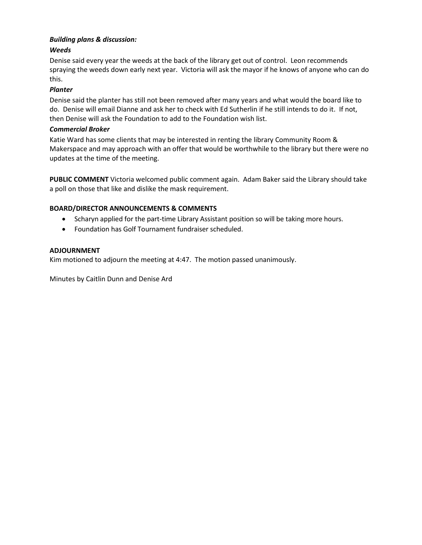## *Building plans & discussion:*

## *Weeds*

Denise said every year the weeds at the back of the library get out of control. Leon recommends spraying the weeds down early next year. Victoria will ask the mayor if he knows of anyone who can do this.

## *Planter*

Denise said the planter has still not been removed after many years and what would the board like to do. Denise will email Dianne and ask her to check with Ed Sutherlin if he still intends to do it. If not, then Denise will ask the Foundation to add to the Foundation wish list.

### *Commercial Broker*

Katie Ward has some clients that may be interested in renting the library Community Room & Makerspace and may approach with an offer that would be worthwhile to the library but there were no updates at the time of the meeting.

**PUBLIC COMMENT** Victoria welcomed public comment again. Adam Baker said the Library should take a poll on those that like and dislike the mask requirement.

## **BOARD/DIRECTOR ANNOUNCEMENTS & COMMENTS**

- Scharyn applied for the part-time Library Assistant position so will be taking more hours.
- Foundation has Golf Tournament fundraiser scheduled.

### **ADJOURNMENT**

Kim motioned to adjourn the meeting at 4:47. The motion passed unanimously.

Minutes by Caitlin Dunn and Denise Ard